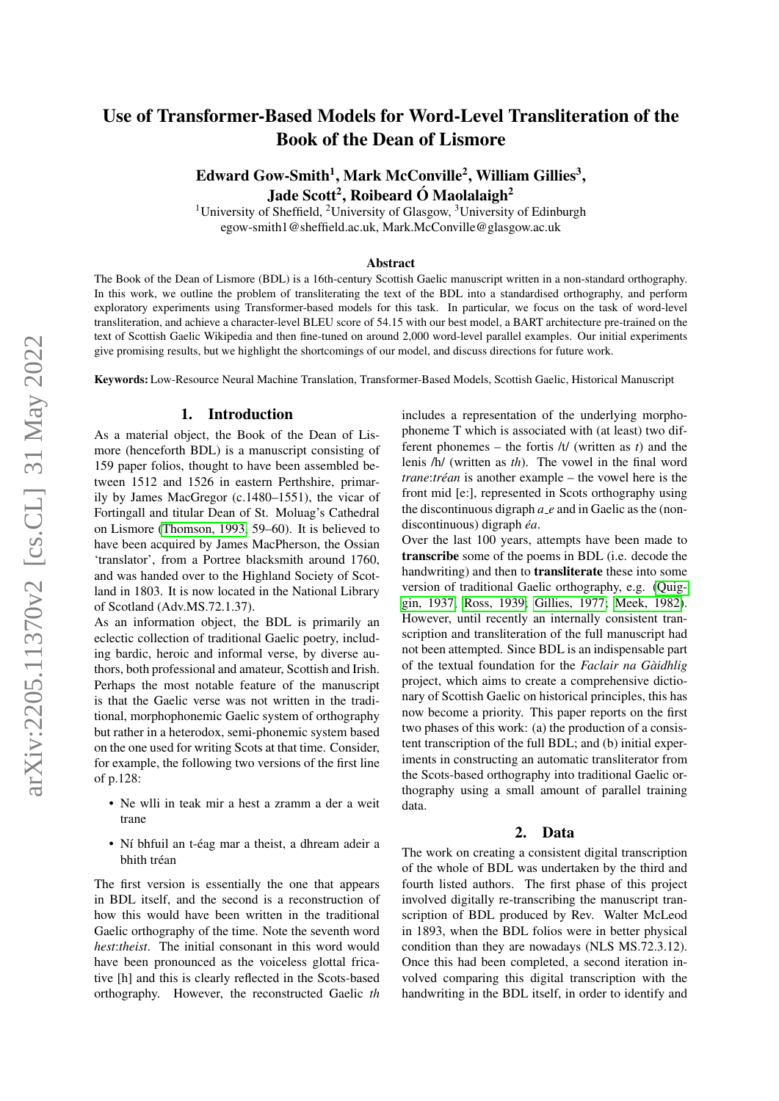# Use of Transformer-Based Models for Word-Level Transliteration of the Book of the Dean of Lismore

Edward Gow-Smith<sup>1</sup>, Mark McConville<sup>2</sup>, William Gillies<sup>3</sup>, Jade Scott<sup>2</sup>, Roibeard Ó Maolalaigh<sup>2</sup>

<sup>1</sup>University of Sheffield, <sup>2</sup>University of Glasgow, <sup>3</sup>University of Edinburgh egow-smith1@sheffield.ac.uk, Mark.McConville@glasgow.ac.uk

#### Abstract

The Book of the Dean of Lismore (BDL) is a 16th-century Scottish Gaelic manuscript written in a non-standard orthography. In this work, we outline the problem of transliterating the text of the BDL into a standardised orthography, and perform exploratory experiments using Transformer-based models for this task. In particular, we focus on the task of word-level transliteration, and achieve a character-level BLEU score of 54.15 with our best model, a BART architecture pre-trained on the text of Scottish Gaelic Wikipedia and then fine-tuned on around 2,000 word-level parallel examples. Our initial experiments give promising results, but we highlight the shortcomings of our model, and discuss directions for future work.

Keywords: Low-Resource Neural Machine Translation, Transformer-Based Models, Scottish Gaelic, Historical Manuscript

#### 1. Introduction

As a material object, the Book of the Dean of Lismore (henceforth BDL) is a manuscript consisting of 159 paper folios, thought to have been assembled between 1512 and 1526 in eastern Perthshire, primarily by James MacGregor (c.1480–1551), the vicar of Fortingall and titular Dean of St. Moluag's Cathedral on Lismore [\(Thomson, 1993,](#page-4-0) 59–60). It is believed to have been acquired by James MacPherson, the Ossian 'translator', from a Portree blacksmith around 1760, and was handed over to the Highland Society of Scotland in 1803. It is now located in the National Library of Scotland (Adv.MS.72.1.37).

As an information object, the BDL is primarily an eclectic collection of traditional Gaelic poetry, including bardic, heroic and informal verse, by diverse authors, both professional and amateur, Scottish and Irish. Perhaps the most notable feature of the manuscript is that the Gaelic verse was not written in the traditional, morphophonemic Gaelic system of orthography but rather in a heterodox, semi-phonemic system based on the one used for writing Scots at that time. Consider, for example, the following two versions of the first line of p.128:

- Ne wlli in teak mir a hest a zramm a der a weit trane
- Ní bhfuil an t-éag mar a theist, a dhream adeir a bhith tréan

The first version is essentially the one that appears in BDL itself, and the second is a reconstruction of how this would have been written in the traditional Gaelic orthography of the time. Note the seventh word *hest*:*theist*. The initial consonant in this word would have been pronounced as the voiceless glottal fricative [h] and this is clearly reflected in the Scots-based orthography. However, the reconstructed Gaelic *th*

includes a representation of the underlying morphophoneme T which is associated with (at least) two different phonemes – the fortis /t/ (written as *t*) and the lenis /h/ (written as *th*). The vowel in the final word *trane:tréan* is another example – the vowel here is the front mid [e:], represented in Scots orthography using the discontinuous digraph *a e* and in Gaelic as the (nondiscontinuous) digraph *éa*.

Over the last 100 years, attempts have been made to transcribe some of the poems in BDL (i.e. decode the handwriting) and then to transliterate these into some version of traditional Gaelic orthography, e.g. [\(Quig](#page-4-1)[gin, 1937;](#page-4-1) [Ross, 1939;](#page-4-2) [Gillies, 1977;](#page-4-3) [Meek, 1982\)](#page-4-4). However, until recently an internally consistent transcription and transliteration of the full manuscript had not been attempted. Since BDL is an indispensable part of the textual foundation for the *Faclair na Gaidhlig `* project, which aims to create a comprehensive dictionary of Scottish Gaelic on historical principles, this has now become a priority. This paper reports on the first two phases of this work: (a) the production of a consistent transcription of the full BDL; and (b) initial experiments in constructing an automatic transliterator from the Scots-based orthography into traditional Gaelic orthography using a small amount of parallel training data.

#### 2. Data

The work on creating a consistent digital transcription of the whole of BDL was undertaken by the third and fourth listed authors. The first phase of this project involved digitally re-transcribing the manuscript transcription of BDL produced by Rev. Walter McLeod in 1893, when the BDL folios were in better physical condition than they are nowadays (NLS MS.72.3.12). Once this had been completed, a second iteration involved comparing this digital transcription with the handwriting in the BDL itself, in order to identify and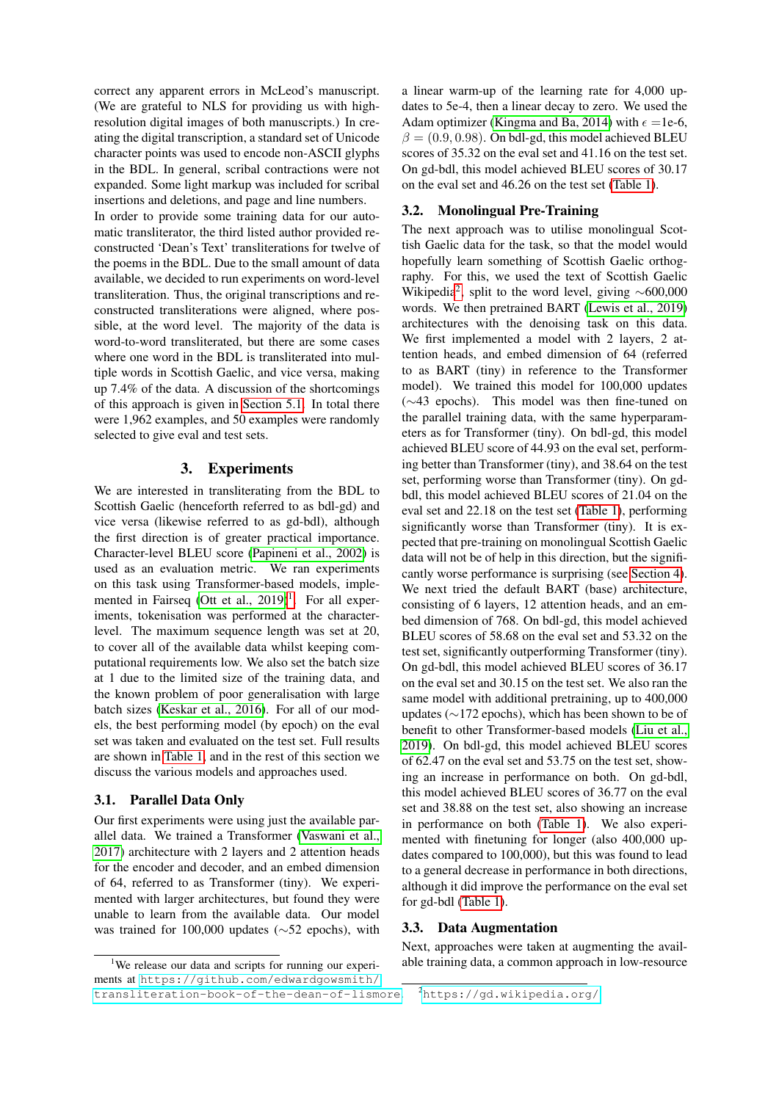correct any apparent errors in McLeod's manuscript. (We are grateful to NLS for providing us with highresolution digital images of both manuscripts.) In creating the digital transcription, a standard set of Unicode character points was used to encode non-ASCII glyphs in the BDL. In general, scribal contractions were not expanded. Some light markup was included for scribal insertions and deletions, and page and line numbers.

In order to provide some training data for our automatic transliterator, the third listed author provided reconstructed 'Dean's Text' transliterations for twelve of the poems in the BDL. Due to the small amount of data available, we decided to run experiments on word-level transliteration. Thus, the original transcriptions and reconstructed transliterations were aligned, where possible, at the word level. The majority of the data is word-to-word transliterated, but there are some cases where one word in the BDL is transliterated into multiple words in Scottish Gaelic, and vice versa, making up 7.4% of the data. A discussion of the shortcomings of this approach is given in [Section 5.1.](#page-3-0) In total there were 1,962 examples, and 50 examples were randomly selected to give eval and test sets.

#### 3. Experiments

We are interested in transliterating from the BDL to Scottish Gaelic (henceforth referred to as bdl-gd) and vice versa (likewise referred to as gd-bdl), although the first direction is of greater practical importance. Character-level BLEU score [\(Papineni et al., 2002\)](#page-4-5) is used as an evaluation metric. We ran experiments on this task using Transformer-based models, implemented in Fairseq (Ott et al.,  $2019)^1$  $2019)^1$  $2019)^1$ . For all experiments, tokenisation was performed at the characterlevel. The maximum sequence length was set at 20, to cover all of the available data whilst keeping computational requirements low. We also set the batch size at 1 due to the limited size of the training data, and the known problem of poor generalisation with large batch sizes [\(Keskar et al., 2016\)](#page-4-7). For all of our models, the best performing model (by epoch) on the eval set was taken and evaluated on the test set. Full results are shown in [Table 1,](#page-2-0) and in the rest of this section we discuss the various models and approaches used.

#### 3.1. Parallel Data Only

Our first experiments were using just the available parallel data. We trained a Transformer [\(Vaswani et al.,](#page-4-8) [2017\)](#page-4-8) architecture with 2 layers and 2 attention heads for the encoder and decoder, and an embed dimension of 64, referred to as Transformer (tiny). We experimented with larger architectures, but found they were unable to learn from the available data. Our model was trained for 100,000 updates (∼52 epochs), with a linear warm-up of the learning rate for 4,000 updates to 5e-4, then a linear decay to zero. We used the Adam optimizer [\(Kingma and Ba, 2014\)](#page-4-9) with  $\epsilon =1e-6$ ,  $\beta = (0.9, 0.98)$ . On bdl-gd, this model achieved BLEU scores of 35.32 on the eval set and 41.16 on the test set. On gd-bdl, this model achieved BLEU scores of 30.17 on the eval set and 46.26 on the test set [\(Table 1\)](#page-2-0).

## <span id="page-1-2"></span>3.2. Monolingual Pre-Training

The next approach was to utilise monolingual Scottish Gaelic data for the task, so that the model would hopefully learn something of Scottish Gaelic orthography. For this, we used the text of Scottish Gaelic Wikipedia<sup>[2](#page-1-1)</sup>, split to the word level, giving  $\sim 600,000$ words. We then pretrained BART [\(Lewis et al., 2019\)](#page-4-10) architectures with the denoising task on this data. We first implemented a model with 2 layers, 2 attention heads, and embed dimension of 64 (referred to as BART (tiny) in reference to the Transformer model). We trained this model for 100,000 updates (∼43 epochs). This model was then fine-tuned on the parallel training data, with the same hyperparameters as for Transformer (tiny). On bdl-gd, this model achieved BLEU score of 44.93 on the eval set, performing better than Transformer (tiny), and 38.64 on the test set, performing worse than Transformer (tiny). On gdbdl, this model achieved BLEU scores of 21.04 on the eval set and 22.18 on the test set [\(Table 1\)](#page-2-0), performing significantly worse than Transformer (tiny). It is expected that pre-training on monolingual Scottish Gaelic data will not be of help in this direction, but the significantly worse performance is surprising (see [Section 4\)](#page-2-1). We next tried the default BART (base) architecture, consisting of 6 layers, 12 attention heads, and an embed dimension of 768. On bdl-gd, this model achieved BLEU scores of 58.68 on the eval set and 53.32 on the test set, significantly outperforming Transformer (tiny). On gd-bdl, this model achieved BLEU scores of 36.17 on the eval set and 30.15 on the test set. We also ran the same model with additional pretraining, up to 400,000 updates (∼172 epochs), which has been shown to be of benefit to other Transformer-based models [\(Liu et al.,](#page-4-11) [2019\)](#page-4-11). On bdl-gd, this model achieved BLEU scores of 62.47 on the eval set and 53.75 on the test set, showing an increase in performance on both. On gd-bdl, this model achieved BLEU scores of 36.77 on the eval set and 38.88 on the test set, also showing an increase in performance on both [\(Table 1\)](#page-2-0). We also experimented with finetuning for longer (also 400,000 updates compared to 100,000), but this was found to lead to a general decrease in performance in both directions, although it did improve the performance on the eval set for gd-bdl [\(Table 1\)](#page-2-0).

## 3.3. Data Augmentation

Next, approaches were taken at augmenting the available training data, a common approach in low-resource

<span id="page-1-0"></span><sup>&</sup>lt;sup>1</sup>We release our data and scripts for running our experiments at [https://github.com/edwardgowsmith/](https://github.com/edwardgowsmith/transliteration-book-of-the-dean-of-lismore) [transliteration-book-of-the-dean-of-lismore](https://github.com/edwardgowsmith/transliteration-book-of-the-dean-of-lismore).

<span id="page-1-1"></span><sup>2</sup><https://gd.wikipedia.org/>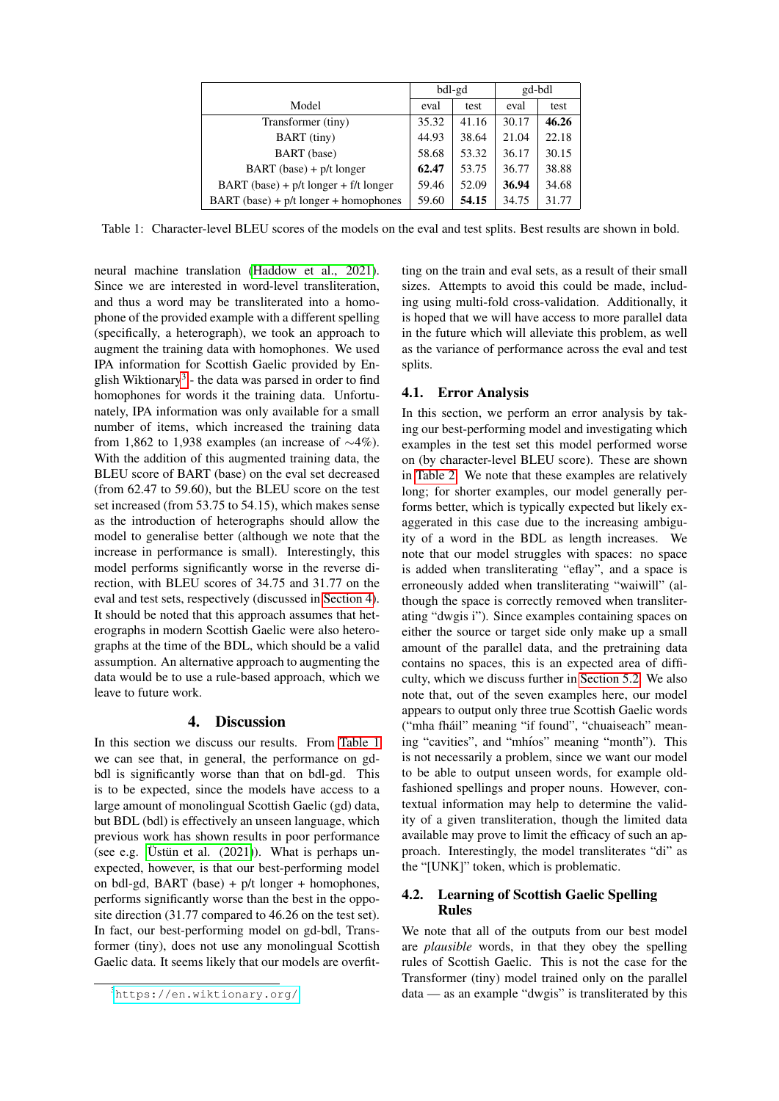|                                                  | bdl-gd |       | gd-bdl |       |
|--------------------------------------------------|--------|-------|--------|-------|
| Model                                            | eval   | test  | eval   | test  |
| Transformer (tiny)                               | 35.32  | 41.16 | 30.17  | 46.26 |
| BART (tiny)                                      | 44.93  | 38.64 | 21.04  | 22.18 |
| BART (base)                                      | 58.68  | 53.32 | 36.17  | 30.15 |
| $BART$ (base) + $p/t$ longer                     | 62.47  | 53.75 | 36.77  | 38.88 |
| BART (base) + $p/t$ longer + $f/t$ longer        | 59.46  | 52.09 | 36.94  | 34.68 |
| $\text{BART}$ (base) + $p/t$ longer + homophones | 59.60  | 54.15 | 34.75  | 31.77 |

<span id="page-2-0"></span>Table 1: Character-level BLEU scores of the models on the eval and test splits. Best results are shown in bold.

neural machine translation [\(Haddow et al., 2021\)](#page-4-12). Since we are interested in word-level transliteration, and thus a word may be transliterated into a homophone of the provided example with a different spelling (specifically, a heterograph), we took an approach to augment the training data with homophones. We used IPA information for Scottish Gaelic provided by En-glish Wiktionary<sup>[3](#page-2-2)</sup> - the data was parsed in order to find homophones for words it the training data. Unfortunately, IPA information was only available for a small number of items, which increased the training data from 1,862 to 1,938 examples (an increase of  $\sim$ 4%). With the addition of this augmented training data, the BLEU score of BART (base) on the eval set decreased (from 62.47 to 59.60), but the BLEU score on the test set increased (from 53.75 to 54.15), which makes sense as the introduction of heterographs should allow the model to generalise better (although we note that the increase in performance is small). Interestingly, this model performs significantly worse in the reverse direction, with BLEU scores of 34.75 and 31.77 on the eval and test sets, respectively (discussed in [Section 4\)](#page-2-1). It should be noted that this approach assumes that heterographs in modern Scottish Gaelic were also heterographs at the time of the BDL, which should be a valid assumption. An alternative approach to augmenting the data would be to use a rule-based approach, which we leave to future work.

## 4. Discussion

<span id="page-2-1"></span>In this section we discuss our results. From [Table 1](#page-2-0) we can see that, in general, the performance on gdbdl is significantly worse than that on bdl-gd. This is to be expected, since the models have access to a large amount of monolingual Scottish Gaelic (gd) data, but BDL (bdl) is effectively an unseen language, which previous work has shown results in poor performance (see e.g. Üstün et al.  $(2021)$ ). What is perhaps unexpected, however, is that our best-performing model on bdl-gd, BART (base) +  $p/t$  longer + homophones, performs significantly worse than the best in the opposite direction (31.77 compared to 46.26 on the test set). In fact, our best-performing model on gd-bdl, Transformer (tiny), does not use any monolingual Scottish Gaelic data. It seems likely that our models are overfitting on the train and eval sets, as a result of their small sizes. Attempts to avoid this could be made, including using multi-fold cross-validation. Additionally, it is hoped that we will have access to more parallel data in the future which will alleviate this problem, as well as the variance of performance across the eval and test splits.

## 4.1. Error Analysis

In this section, we perform an error analysis by taking our best-performing model and investigating which examples in the test set this model performed worse on (by character-level BLEU score). These are shown in [Table 2.](#page-3-1) We note that these examples are relatively long; for shorter examples, our model generally performs better, which is typically expected but likely exaggerated in this case due to the increasing ambiguity of a word in the BDL as length increases. We note that our model struggles with spaces: no space is added when transliterating "eflay", and a space is erroneously added when transliterating "waiwill" (although the space is correctly removed when transliterating "dwgis i"). Since examples containing spaces on either the source or target side only make up a small amount of the parallel data, and the pretraining data contains no spaces, this is an expected area of difficulty, which we discuss further in [Section 5.2.](#page-3-2) We also note that, out of the seven examples here, our model appears to output only three true Scottish Gaelic words ("mha fháil" meaning "if found", "chuaiseach" meaning "cavities", and "mhíos" meaning "month"). This is not necessarily a problem, since we want our model to be able to output unseen words, for example oldfashioned spellings and proper nouns. However, contextual information may help to determine the validity of a given transliteration, though the limited data available may prove to limit the efficacy of such an approach. Interestingly, the model transliterates "di" as the "[UNK]" token, which is problematic.

## 4.2. Learning of Scottish Gaelic Spelling Rules

We note that all of the outputs from our best model are *plausible* words, in that they obey the spelling rules of Scottish Gaelic. This is not the case for the Transformer (tiny) model trained only on the parallel data — as an example "dwgis" is transliterated by this

<span id="page-2-2"></span><sup>3</sup><https://en.wiktionary.org/>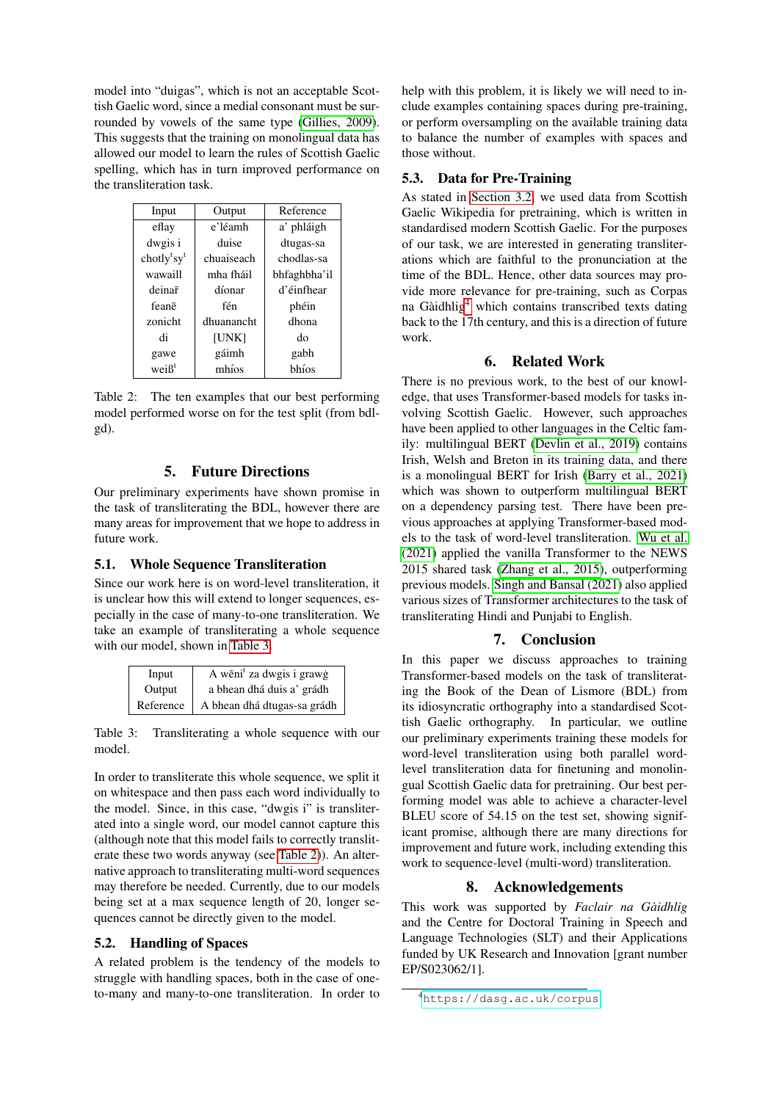model into "duigas", which is not an acceptable Scottish Gaelic word, since a medial consonant must be surrounded by vowels of the same type [\(Gillies, 2009\)](#page-4-14). This suggests that the training on monolingual data has allowed our model to learn the rules of Scottish Gaelic spelling, which has in turn improved performance on the transliteration task.

| Input                               | Output     | Reference    |  |
|-------------------------------------|------------|--------------|--|
| eflay                               | e'léamh    | a' phláigh   |  |
| dwgis i                             | duise      | dtugas-sa    |  |
| chotly <sup>t</sup> sy <sup>t</sup> | chuaiseach | chodlas-sa   |  |
| wawaill                             | mha fháil  | bhfaghbha'il |  |
| deinar                              | díonar     | d'éinfhear   |  |
| feanē                               | fén        | phéin        |  |
| zonicht                             | dhuanancht | dhona        |  |
| di                                  | [UNK]      | do           |  |
| gawe                                | gáimh      | gabh         |  |
| weiß <sup>t</sup>                   | mhíos      | bhíos        |  |

<span id="page-3-1"></span>Table 2: The ten examples that our best performing model performed worse on for the test split (from bdlgd).

## 5. Future Directions

Our preliminary experiments have shown promise in the task of transliterating the BDL, however there are many areas for improvement that we hope to address in future work.

#### <span id="page-3-0"></span>5.1. Whole Sequence Transliteration

Since our work here is on word-level transliteration, it is unclear how this will extend to longer sequences, especially in the case of many-to-one transliteration. We take an example of transliterating a whole sequence with our model, shown in [Table 3.](#page-3-3)

| Input     | A wēni <sup>t</sup> za dwgis i grawģ |
|-----------|--------------------------------------|
| Output    | a bhean dhá duis a' grádh            |
| Reference | A bhean dhá dtugas-sa grádh          |

<span id="page-3-3"></span>Table 3: Transliterating a whole sequence with our model.

In order to transliterate this whole sequence, we split it on whitespace and then pass each word individually to the model. Since, in this case, "dwgis i" is transliterated into a single word, our model cannot capture this (although note that this model fails to correctly transliterate these two words anyway (see [Table 2\)](#page-3-1)). An alternative approach to transliterating multi-word sequences may therefore be needed. Currently, due to our models being set at a max sequence length of 20, longer sequences cannot be directly given to the model.

#### <span id="page-3-2"></span>5.2. Handling of Spaces

A related problem is the tendency of the models to struggle with handling spaces, both in the case of oneto-many and many-to-one transliteration. In order to help with this problem, it is likely we will need to include examples containing spaces during pre-training, or perform oversampling on the available training data to balance the number of examples with spaces and those without.

## 5.3. Data for Pre-Training

As stated in [Section 3.2,](#page-1-2) we used data from Scottish Gaelic Wikipedia for pretraining, which is written in standardised modern Scottish Gaelic. For the purposes of our task, we are interested in generating transliterations which are faithful to the pronunciation at the time of the BDL. Hence, other data sources may provide more relevance for pre-training, such as Corpas na Gàidhlig<sup>[4](#page-3-4)</sup> which contains transcribed texts dating back to the 17th century, and this is a direction of future work.

## 6. Related Work

There is no previous work, to the best of our knowledge, that uses Transformer-based models for tasks involving Scottish Gaelic. However, such approaches have been applied to other languages in the Celtic family: multilingual BERT [\(Devlin et al., 2019\)](#page-4-15) contains Irish, Welsh and Breton in its training data, and there is a monolingual BERT for Irish [\(Barry et al., 2021\)](#page-4-16) which was shown to outperform multilingual BERT on a dependency parsing test. There have been previous approaches at applying Transformer-based models to the task of word-level transliteration. [Wu et al.](#page-4-17) [\(2021\)](#page-4-17) applied the vanilla Transformer to the NEWS 2015 shared task [\(Zhang et al., 2015\)](#page-4-18), outperforming previous models. [Singh and Bansal \(2021\)](#page-4-19) also applied various sizes of Transformer architectures to the task of transliterating Hindi and Punjabi to English.

## 7. Conclusion

In this paper we discuss approaches to training Transformer-based models on the task of transliterating the Book of the Dean of Lismore (BDL) from its idiosyncratic orthography into a standardised Scottish Gaelic orthography. In particular, we outline our preliminary experiments training these models for word-level transliteration using both parallel wordlevel transliteration data for finetuning and monolingual Scottish Gaelic data for pretraining. Our best performing model was able to achieve a character-level BLEU score of 54.15 on the test set, showing significant promise, although there are many directions for improvement and future work, including extending this work to sequence-level (multi-word) transliteration.

#### 8. Acknowledgements

This work was supported by *Faclair na Gaidhlig `* and the Centre for Doctoral Training in Speech and Language Technologies (SLT) and their Applications funded by UK Research and Innovation [grant number EP/S023062/1].

<span id="page-3-4"></span><sup>4</sup><https://dasg.ac.uk/corpus>